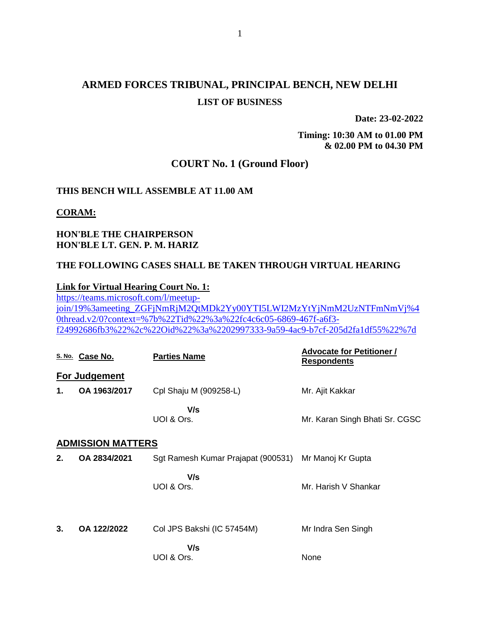# **ARMED FORCES TRIBUNAL, PRINCIPAL BENCH, NEW DELHI LIST OF BUSINESS**

**Date: 23-02-2022**

**Timing: 10:30 AM to 01.00 PM & 02.00 PM to 04.30 PM**

# **COURT No. 1 (Ground Floor)**

### **THIS BENCH WILL ASSEMBLE AT 11.00 AM**

#### **CORAM:**

## **HON'BLE THE CHAIRPERSON HON'BLE LT. GEN. P. M. HARIZ**

### **THE FOLLOWING CASES SHALL BE TAKEN THROUGH VIRTUAL HEARING**

#### **Link for Virtual Hearing Court No. 1:**

[https://teams.microsoft.com/l/meetup](https://teams.microsoft.com/l/meetup-join/19%3ameeting_ZGFjNmRjM2QtMDk2Yy00YTI5LWI2MzYtYjNmM2UzNTFmNmVj%40thread.v2/0?context=%7b%22Tid%22%3a%22fc4c6c05-6869-467f-a6f3-f24992686fb3%22%2c%22Oid%22%3a%2202997333-9a59-4ac9-b7cf-205d2fa1df55%22%7d)[join/19%3ameeting\\_ZGFjNmRjM2QtMDk2Yy00YTI5LWI2MzYtYjNmM2UzNTFmNmVj%4](https://teams.microsoft.com/l/meetup-join/19%3ameeting_ZGFjNmRjM2QtMDk2Yy00YTI5LWI2MzYtYjNmM2UzNTFmNmVj%40thread.v2/0?context=%7b%22Tid%22%3a%22fc4c6c05-6869-467f-a6f3-f24992686fb3%22%2c%22Oid%22%3a%2202997333-9a59-4ac9-b7cf-205d2fa1df55%22%7d) [0thread.v2/0?context=%7b%22Tid%22%3a%22fc4c6c05-6869-467f-a6f3](https://teams.microsoft.com/l/meetup-join/19%3ameeting_ZGFjNmRjM2QtMDk2Yy00YTI5LWI2MzYtYjNmM2UzNTFmNmVj%40thread.v2/0?context=%7b%22Tid%22%3a%22fc4c6c05-6869-467f-a6f3-f24992686fb3%22%2c%22Oid%22%3a%2202997333-9a59-4ac9-b7cf-205d2fa1df55%22%7d) [f24992686fb3%22%2c%22Oid%22%3a%2202997333-9a59-4ac9-b7cf-205d2fa1df55%22%7d](https://teams.microsoft.com/l/meetup-join/19%3ameeting_ZGFjNmRjM2QtMDk2Yy00YTI5LWI2MzYtYjNmM2UzNTFmNmVj%40thread.v2/0?context=%7b%22Tid%22%3a%22fc4c6c05-6869-467f-a6f3-f24992686fb3%22%2c%22Oid%22%3a%2202997333-9a59-4ac9-b7cf-205d2fa1df55%22%7d)

|    | S. No. Case No.          | <b>Parties Name</b>                             | <b>Advocate for Petitioner /</b><br><b>Respondents</b> |
|----|--------------------------|-------------------------------------------------|--------------------------------------------------------|
|    | For Judgement            |                                                 |                                                        |
| 1. | OA 1963/2017             | Cpl Shaju M (909258-L)                          | Mr. Ajit Kakkar                                        |
|    |                          | V/s<br>UOI & Ors.                               | Mr. Karan Singh Bhati Sr. CGSC                         |
|    | <b>ADMISSION MATTERS</b> |                                                 |                                                        |
| 2. | OA 2834/2021             | Sgt Ramesh Kumar Prajapat (900531)              | Mr Manoj Kr Gupta                                      |
|    |                          | V/s<br>UOI & Ors.                               | Mr. Harish V Shankar                                   |
| 3. | OA 122/2022              | Col JPS Bakshi (IC 57454M)<br>V/s<br>UOI & Ors. | Mr Indra Sen Singh<br>None                             |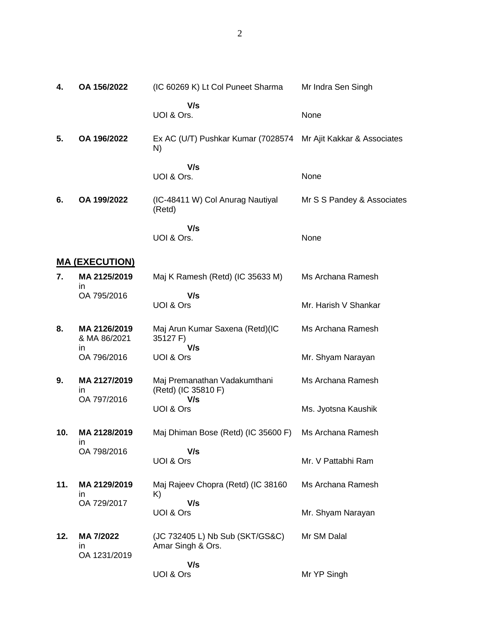2

| 4.  | OA 156/2022                       | (IC 60269 K) Lt Col Puneet Sharma                                    | Mr Indra Sen Singh         |
|-----|-----------------------------------|----------------------------------------------------------------------|----------------------------|
|     |                                   | V/s<br>UOI & Ors.                                                    | None                       |
| 5.  | OA 196/2022                       | Ex AC (U/T) Pushkar Kumar (7028574 Mr Ajit Kakkar & Associates<br>N) |                            |
|     |                                   | V/s<br>UOI & Ors.                                                    | None                       |
| 6.  | OA 199/2022                       | (IC-48411 W) Col Anurag Nautiyal<br>(Retd)                           | Mr S S Pandey & Associates |
|     |                                   | V/s<br>UOI & Ors.                                                    | None                       |
|     | <b>MA (EXECUTION)</b>             |                                                                      |                            |
| 7.  | MA 2125/2019                      | Maj K Ramesh (Retd) (IC 35633 M)                                     | Ms Archana Ramesh          |
|     | in<br>OA 795/2016                 | V/s<br>UOI & Ors                                                     | Mr. Harish V Shankar       |
| 8.  | MA 2126/2019<br>& MA 86/2021      | Maj Arun Kumar Saxena (Retd)(IC<br>35127 F)<br>V/s                   | Ms Archana Ramesh          |
|     | in<br>OA 796/2016                 | UOI & Ors                                                            | Mr. Shyam Narayan          |
| 9.  | MA 2127/2019<br>in<br>OA 797/2016 | Maj Premanathan Vadakumthani<br>(Retd) (IC 35810 F)<br>V/s           | Ms Archana Ramesh          |
|     |                                   | UOI & Ors                                                            | Ms. Jyotsna Kaushik        |
| 10. | MA 2128/2019<br>in                | Maj Dhiman Bose (Retd) (IC 35600 F)                                  | Ms Archana Ramesh          |
|     | OA 798/2016                       | V/s<br>UOI & Ors                                                     | Mr. V Pattabhi Ram         |
| 11. | MA 2129/2019<br>ın                | Maj Rajeev Chopra (Retd) (IC 38160<br>K)                             | Ms Archana Ramesh          |
|     | OA 729/2017                       | V/s<br>UOI & Ors                                                     | Mr. Shyam Narayan          |
| 12. | MA 7/2022<br>in<br>OA 1231/2019   | (JC 732405 L) Nb Sub (SKT/GS&C)<br>Amar Singh & Ors.                 | Mr SM Dalal                |
|     |                                   | V/s<br>UOI & Ors                                                     | Mr YP Singh                |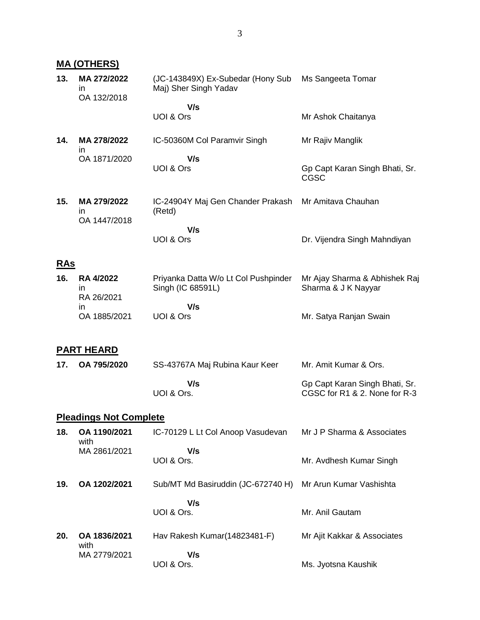#### **MA (OTHERS) 13. MA 272/2022** in OA 132/2018 (JC-143849X) Ex-Subedar (Hony Sub Maj) Sher Singh Yadav  **V/s** UOI & Ors Ms Sangeeta Tomar Mr Ashok Chaitanya **14. MA 278/2022** in OA 1871/2020 IC-50360M Col Paramvir Singh  **V/s** UOI & Ors Mr Rajiv Manglik Gp Capt Karan Singh Bhati, Sr. CGSC **15. MA 279/2022** in OA 1447/2018 IC-24904Y Maj Gen Chander Prakash (Retd)  **V/s** UOI & Ors Mr Amitava Chauhan Dr. Vijendra Singh Mahndiyan **RAs 16. RA 4/2022** in RA 26/2021 in OA 1885/2021 Priyanka Datta W/o Lt Col Pushpinder Singh (IC 68591L)  **V/s** UOI & Ors Mr Ajay Sharma & Abhishek Raj Sharma & J K Nayyar Mr. Satya Ranjan Swain **PART HEARD**

| 17. OA 795/2020 | SS-43767A Maj Rubina Kaur Keer | Mr. Amit Kumar & Ors.          |  |
|-----------------|--------------------------------|--------------------------------|--|
|                 | V/s                            | Gp Capt Karan Singh Bhati, Sr. |  |
|                 | UOI & Ors.                     | CGSC for R1 & 2. None for R-3  |  |

#### **Pleadings Not Complete**

| 18. | OA 1190/2021<br>with | IC-70129 L Lt Col Anoop Vasudevan  | Mr J P Sharma & Associates  |
|-----|----------------------|------------------------------------|-----------------------------|
|     | MA 2861/2021         | V/s                                |                             |
|     |                      | UOI & Ors.                         | Mr. Avdhesh Kumar Singh     |
| 19. | OA 1202/2021         | Sub/MT Md Basiruddin (JC-672740 H) | Mr Arun Kumar Vashishta     |
|     |                      | V/s                                |                             |
|     |                      | UOI & Ors.                         | Mr. Anil Gautam             |
| 20. | OA 1836/2021<br>with | Hav Rakesh Kumar(14823481-F)       | Mr Ajit Kakkar & Associates |
|     | MA 2779/2021         | V/s                                |                             |
|     |                      | UOI & Ors.                         | Ms. Jyotsna Kaushik         |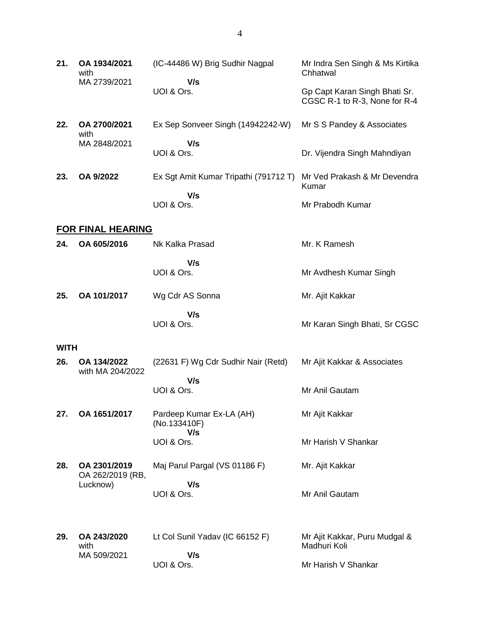| 21.         | OA 1934/2021<br>with<br>MA 2739/2021         | (IC-44486 W) Brig Sudhir Nagpal<br>V/s          | Mr Indra Sen Singh & Ms Kirtika<br>Chhatwal                    |
|-------------|----------------------------------------------|-------------------------------------------------|----------------------------------------------------------------|
|             |                                              | UOI & Ors.                                      | Gp Capt Karan Singh Bhati Sr.<br>CGSC R-1 to R-3, None for R-4 |
| 22.         | OA 2700/2021<br>with                         | Ex Sep Sonveer Singh (14942242-W)               | Mr S S Pandey & Associates                                     |
|             | MA 2848/2021                                 | V/s<br>UOI & Ors.                               | Dr. Vijendra Singh Mahndiyan                                   |
| 23.         | OA 9/2022                                    | Ex Sgt Amit Kumar Tripathi (791712 T)           | Mr Ved Prakash & Mr Devendra<br>Kumar                          |
|             |                                              | V/s<br>UOI & Ors.                               | Mr Prabodh Kumar                                               |
|             | <b>FOR FINAL HEARING</b>                     |                                                 |                                                                |
| 24.         | OA 605/2016                                  | Nk Kalka Prasad                                 | Mr. K Ramesh                                                   |
|             |                                              | V/s<br>UOI & Ors.                               | Mr Avdhesh Kumar Singh                                         |
| 25.         | OA 101/2017                                  | Wg Cdr AS Sonna                                 | Mr. Ajit Kakkar                                                |
|             |                                              | V/s<br>UOI & Ors.                               | Mr Karan Singh Bhati, Sr CGSC                                  |
| <b>WITH</b> |                                              |                                                 |                                                                |
| 26.         | OA 134/2022<br>with MA 204/2022              | (22631 F) Wg Cdr Sudhir Nair (Retd)             | Mr Ajit Kakkar & Associates                                    |
|             |                                              | V/s<br>UOI & Ors.                               | Mr Anil Gautam                                                 |
| 27.         | OA 1651/2017                                 | Pardeep Kumar Ex-LA (AH)<br>(No.133410F)<br>V/s | Mr Ajit Kakkar                                                 |
|             |                                              | UOI & Ors.                                      | Mr Harish V Shankar                                            |
| 28.         | OA 2301/2019<br>OA 262/2019 (RB,<br>Lucknow) | Maj Parul Pargal (VS 01186 F)                   | Mr. Ajit Kakkar                                                |
|             |                                              | V/s<br>UOI & Ors.                               | Mr Anil Gautam                                                 |
| 29.         | OA 243/2020<br>with                          | Lt Col Sunil Yadav (IC 66152 F)                 | Mr Ajit Kakkar, Puru Mudgal &<br>Madhuri Koli                  |
|             | MA 509/2021                                  | V/s<br>UOI & Ors.                               | Mr Harish V Shankar                                            |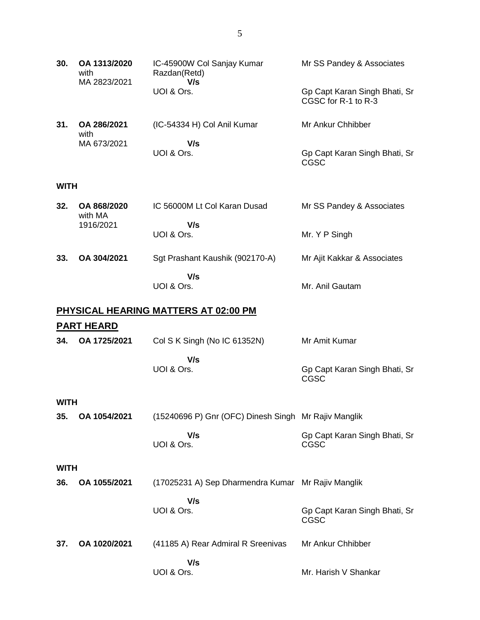| 30.         | OA 1313/2020<br>with<br>MA 2823/2021 | IC-45900W Col Sanjay Kumar<br>Razdan(Retd)<br>V/s    | Mr SS Pandey & Associates                            |  |  |
|-------------|--------------------------------------|------------------------------------------------------|------------------------------------------------------|--|--|
|             |                                      | UOI & Ors.                                           | Gp Capt Karan Singh Bhati, Sr<br>CGSC for R-1 to R-3 |  |  |
| 31.         | OA 286/2021<br>with                  | (IC-54334 H) Col Anil Kumar                          | Mr Ankur Chhibber                                    |  |  |
|             | MA 673/2021                          | V/s<br>UOI & Ors.                                    | Gp Capt Karan Singh Bhati, Sr<br><b>CGSC</b>         |  |  |
| <b>WITH</b> |                                      |                                                      |                                                      |  |  |
| 32.         | OA 868/2020<br>with MA               | IC 56000M Lt Col Karan Dusad                         | Mr SS Pandey & Associates                            |  |  |
|             | 1916/2021                            | V/s<br>UOI & Ors.                                    | Mr. Y P Singh                                        |  |  |
| 33.         | OA 304/2021                          | Sgt Prashant Kaushik (902170-A)                      | Mr Ajit Kakkar & Associates                          |  |  |
|             |                                      | V/s<br>UOI & Ors.                                    | Mr. Anil Gautam                                      |  |  |
|             |                                      | PHYSICAL HEARING MATTERS AT 02:00 PM                 |                                                      |  |  |
|             | <b>PART HEARD</b>                    |                                                      |                                                      |  |  |
| 34.         | OA 1725/2021                         | Col S K Singh (No IC 61352N)                         | Mr Amit Kumar                                        |  |  |
|             |                                      | V/s<br>UOI & Ors.                                    | Gp Capt Karan Singh Bhati, Sr<br>CGSC                |  |  |
| <b>WITH</b> |                                      |                                                      |                                                      |  |  |
| 35.         | OA 1054/2021                         | (15240696 P) Gnr (OFC) Dinesh Singh Mr Rajiv Manglik |                                                      |  |  |
|             |                                      | V/s<br>UOI & Ors.                                    | Gp Capt Karan Singh Bhati, Sr<br>CGSC                |  |  |
| <b>WITH</b> |                                      |                                                      |                                                      |  |  |
| 36.         | OA 1055/2021                         | (17025231 A) Sep Dharmendra Kumar Mr Rajiv Manglik   |                                                      |  |  |
|             |                                      | V/s<br>UOI & Ors.                                    | Gp Capt Karan Singh Bhati, Sr<br>CGSC                |  |  |
| 37.         | OA 1020/2021                         | (41185 A) Rear Admiral R Sreenivas                   | Mr Ankur Chhibber                                    |  |  |
|             |                                      | V/s<br>UOI & Ors.                                    | Mr. Harish V Shankar                                 |  |  |